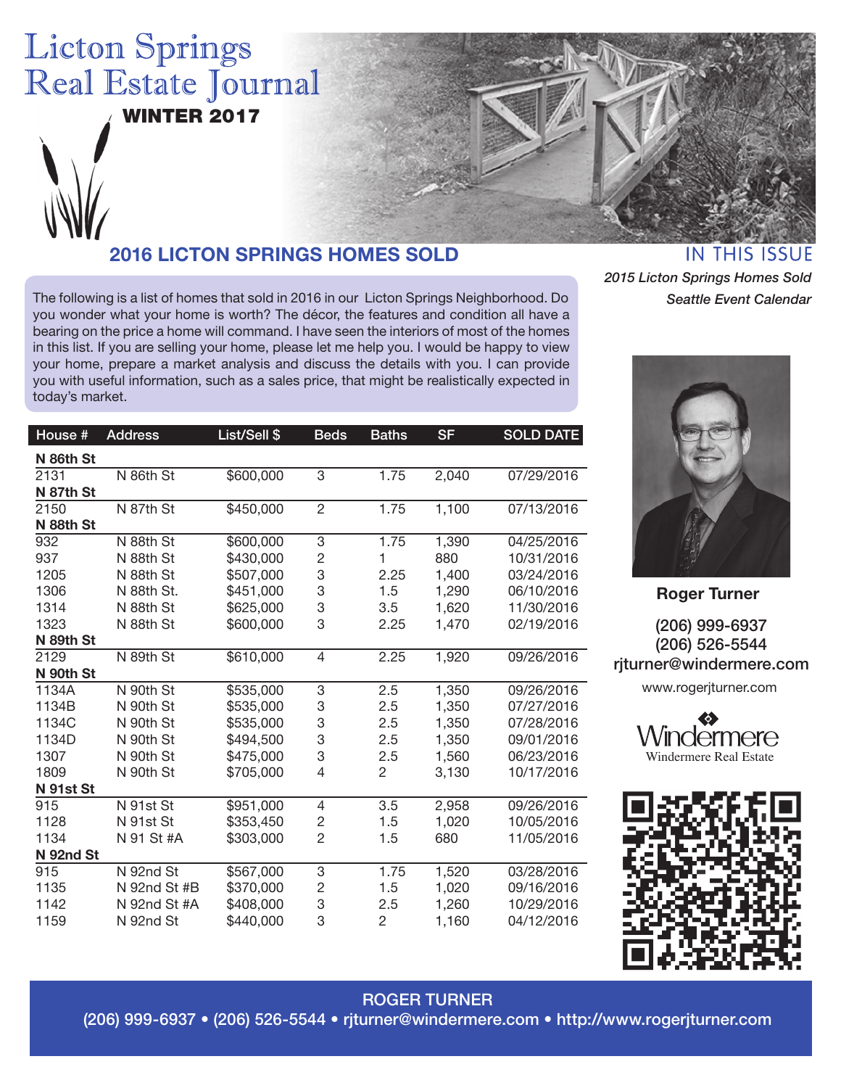# **Licton Springs** Real Estate Journal

WINTER 2017



# **2016 LICTON SPRINGS HOMES SOLD**

The following is a list of homes that sold in 2016 in our Licton Springs Neighborhood. Do you wonder what your home is worth? The décor, the features and condition all have a bearing on the price a home will command. I have seen the interiors of most of the homes in this list. If you are selling your home, please let me help you. I would be happy to view your home, prepare a market analysis and discuss the details with you. I can provide you with useful information, such as a sales price, that might be realistically expected in today's market.

**IN THIS ISSUE** *2015 Licton Springs Homes Sold Seattle Event Calendar*





**Roger Turner**

(206) 999-6937 (206) 526-5544 rjturner@windermere.com

www.rogerjturner.com





#### ROGER TURNER (206) 999-6937 • (206) 526-5544 • rjturner@windermere.com • http://www.rogerjturner.com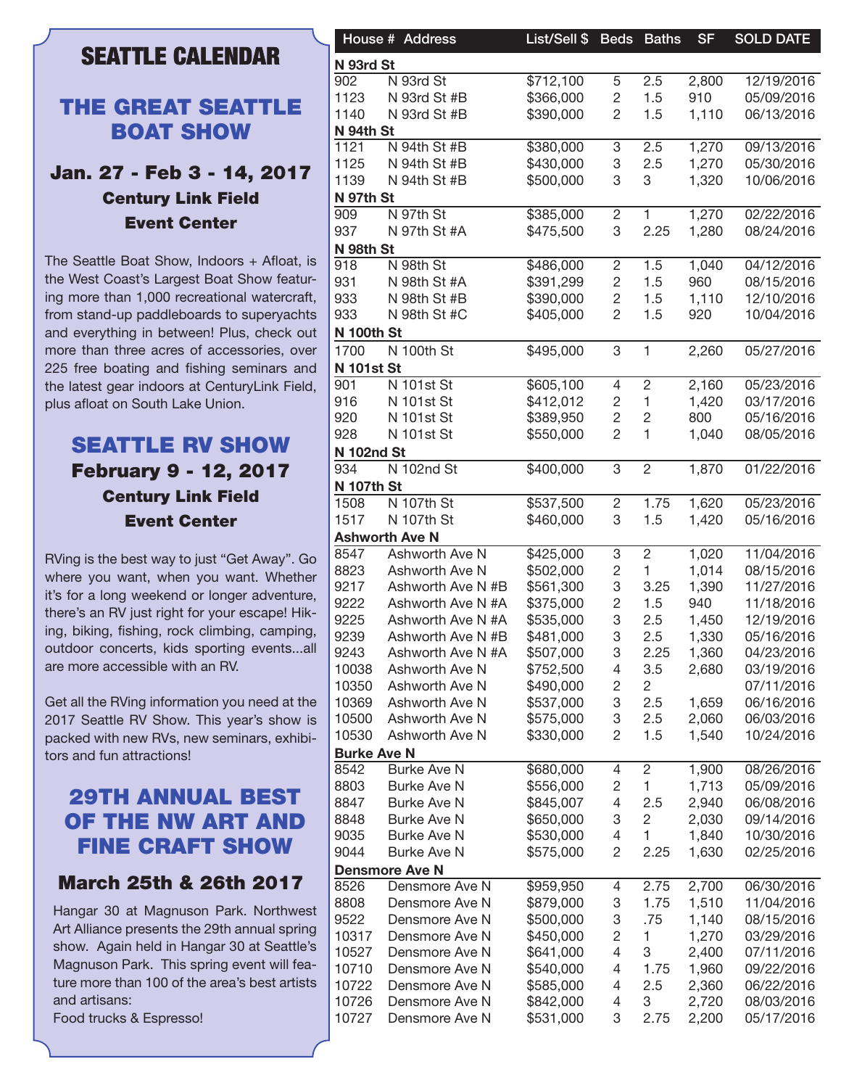# **SEATTLE CALENDAR**

#### THE GREAT SEATTLE BOAT SHOW

#### Jan. 27 - Feb 3 - 14, 2017 Century Link Field Event Center

The Seattle Boat Show, Indoors + Afloat, is the West Coast's Largest Boat Show featuring more than 1,000 recreational watercraft, from stand-up paddleboards to superyachts and everything in between! Plus, check out more than three acres of accessories, over 225 free boating and fishing seminars and the latest gear indoors at CenturyLink Field, plus afloat on South Lake Union.

## SEATTLE RV SHOW February 9 - 12, 2017 Century Link Field Event Center

RVing is the best way to just "Get Away". Go where you want, when you want. Whether it's for a long weekend or longer adventure, there's an RV just right for your escape! Hiking, biking, fishing, rock climbing, camping, outdoor concerts, kids sporting events...all are more accessible with an RV.

Get all the RVing information you need at the 2017 Seattle RV Show. This year's show is packed with new RVs, new seminars, exhibitors and fun attractions!

# 29TH ANNUAL BEST OF THE NW ART AND FINE CRAFT SHOW

#### March 25th & 26th 2017

Hangar 30 at Magnuson Park. Northwest Art Alliance presents the 29th annual spring show. Again held in Hangar 30 at Seattle's Magnuson Park. This spring event will feature more than 100 of the area's best artists and artisans:

Food trucks & Espresso!

|                    | House # Address       | List/Sell \$ Beds Baths |                |                | <b>SF</b> | <b>SOLD DATE</b> |
|--------------------|-----------------------|-------------------------|----------------|----------------|-----------|------------------|
| N 93rd St          |                       |                         |                |                |           |                  |
| 902                | N 93rd St             | \$712,100               | 5              | 2.5            | 2,800     | 12/19/2016       |
| 1123               | N 93rd St #B          | \$366,000               | 2              | 1.5            | 910       | 05/09/2016       |
| 1140               | N 93rd St #B          | \$390,000               | 2              | 1.5            | 1,110     | 06/13/2016       |
| <b>N</b> 94th St   |                       |                         |                |                |           |                  |
| 1121               | N 94th St #B          | \$380,000               | 3              | 2.5            | 1,270     | 09/13/2016       |
| 1125               | N 94th St #B          | \$430,000               | 3              | 2.5            | 1,270     | 05/30/2016       |
| 1139               | N 94th St #B          | \$500,000               | 3              | 3              | 1,320     | 10/06/2016       |
| N 97th St          |                       |                         |                |                |           |                  |
| 909                | N 97th St             | \$385,000               | 2              |                | 1,270     | 02/22/2016       |
|                    | N 97th St #A          | \$475,500               | 3              | 2.25           | 1,280     | 08/24/2016       |
| 937                |                       |                         |                |                |           |                  |
| N 98th St          |                       |                         |                |                |           |                  |
| 918                | N 98th St             | \$486,000               | 2              | 1.5            | 1,040     | 04/12/2016       |
| 931                | N 98th St #A          | \$391,299               | 2              | 1.5            | 960       | 08/15/2016       |
| 933                | N 98th St #B          | \$390,000               | 2              | 1.5            | 1,110     | 12/10/2016       |
| 933                | N 98th St #C          | \$405,000               | 2              | 1.5            | 920       | 10/04/2016       |
| <b>N 100th St</b>  |                       |                         |                |                |           |                  |
| 1700               | N 100th St            | \$495,000               | 3              | 1              | 2,260     | 05/27/2016       |
| <b>N 101st St</b>  |                       |                         |                |                |           |                  |
| 901                | N 101st St            | \$605,100               | 4              | $\overline{c}$ | 2,160     | 05/23/2016       |
|                    |                       |                         |                |                |           |                  |
| 916                | <b>N</b> 101st St     | \$412,012               | 2              | 1              | 1,420     | 03/17/2016       |
| 920                | <b>N</b> 101st St     | \$389,950               | 2              | 2              | 800       | 05/16/2016       |
| 928                | N 101st St            | \$550,000               | 2              | 1              | 1,040     | 08/05/2016       |
| <b>N 102nd St</b>  |                       |                         |                |                |           |                  |
| 934                | N 102nd St            | \$400,000               | 3              | $\overline{c}$ | 1,870     | 01/22/2016       |
| <b>N 107th St</b>  |                       |                         |                |                |           |                  |
| 1508               | N 107th St            | \$537,500               | 2              | 1.75           | 1,620     | 05/23/2016       |
| 1517               | N 107th St            | \$460,000               | 3              | 1.5            | 1,420     | 05/16/2016       |
|                    | <b>Ashworth Ave N</b> |                         |                |                |           |                  |
| 8547               | Ashworth Ave N        | \$425,000               | 3              | 2              | 1,020     | 11/04/2016       |
| 8823               | Ashworth Ave N        | \$502,000               |                | 1              | 1,014     | 08/15/2016       |
|                    |                       |                         | 2              |                |           |                  |
| 9217               | Ashworth Ave N #B     | \$561,300               | 3              | 3.25           | 1,390     | 11/27/2016       |
| 9222               | Ashworth Ave N #A     | \$375,000               | 2              | 1.5            | 940       | 11/18/2016       |
| 9225               | Ashworth Ave N #A     | \$535,000               | 3              | 2.5            | 1,450     | 12/19/2016       |
| 9239               | Ashworth Ave N #B     | \$481,000               | 3              | 2.5            | 1,330     | 05/16/2016       |
| 9243               | Ashworth Ave N #A     | \$507,000               | 3              | 2.25           | 1,360     | 04/23/2016       |
| 10038              | Ashworth Ave N        | \$752,500               | 4              | 3.5            | 2,680     | 03/19/2016       |
| 10350              | Ashworth Ave N        | \$490,000               | 2              | 2              |           | 07/11/2016       |
| 10369              | Ashworth Ave N        | \$537,000               | 3              | 2.5            | 1,659     | 06/16/2016       |
| 10500              | Ashworth Ave N        | \$575,000               | 3              | 2.5            | 2,060     | 06/03/2016       |
| 10530              | Ashworth Ave N        | \$330,000               | $\overline{2}$ | 1.5            | 1,540     | 10/24/2016       |
| <b>Burke Ave N</b> |                       |                         |                |                |           |                  |
| 8542               | <b>Burke Ave N</b>    | \$680,000               |                |                |           | 08/26/2016       |
|                    |                       |                         | 4              | 2              | 1,900     |                  |
| 8803               | Burke Ave N           | \$556,000               | 2              | 1              | 1,713     | 05/09/2016       |
| 8847               | <b>Burke Ave N</b>    | \$845,007               | 4              | 2.5            | 2,940     | 06/08/2016       |
| 8848               | <b>Burke Ave N</b>    | \$650,000               | 3              | 2              | 2,030     | 09/14/2016       |
| 9035               | <b>Burke Ave N</b>    | \$530,000               | 4              | 1              | 1,840     | 10/30/2016       |
| 9044               | <b>Burke Ave N</b>    | \$575,000               | 2              | 2.25           | 1,630     | 02/25/2016       |
|                    | <b>Densmore Ave N</b> |                         |                |                |           |                  |
| 8526               | Densmore Ave N        | \$959,950               | 4              | 2.75           | 2,700     | 06/30/2016       |
| 8808               | Densmore Ave N        | \$879,000               | 3              | 1.75           | 1,510     | 11/04/2016       |
| 9522               | Densmore Ave N        | \$500,000               | 3              | .75            | 1,140     | 08/15/2016       |
| 10317              | Densmore Ave N        | \$450,000               | 2              | 1.             | 1,270     | 03/29/2016       |
| 10527              | Densmore Ave N        | \$641,000               | 4              | 3              | 2,400     | 07/11/2016       |
| 10710              | Densmore Ave N        | \$540,000               | 4              | 1.75           | 1,960     | 09/22/2016       |
|                    |                       |                         |                |                |           |                  |
| 10722              | Densmore Ave N        | \$585,000               | 4              | 2.5            | 2,360     | 06/22/2016       |
| 10726              | Densmore Ave N        | \$842,000               | 4              | 3              | 2,720     | 08/03/2016       |
| 10727              | Densmore Ave N        | \$531,000               | 3              | 2.75           | 2,200     | 05/17/2016       |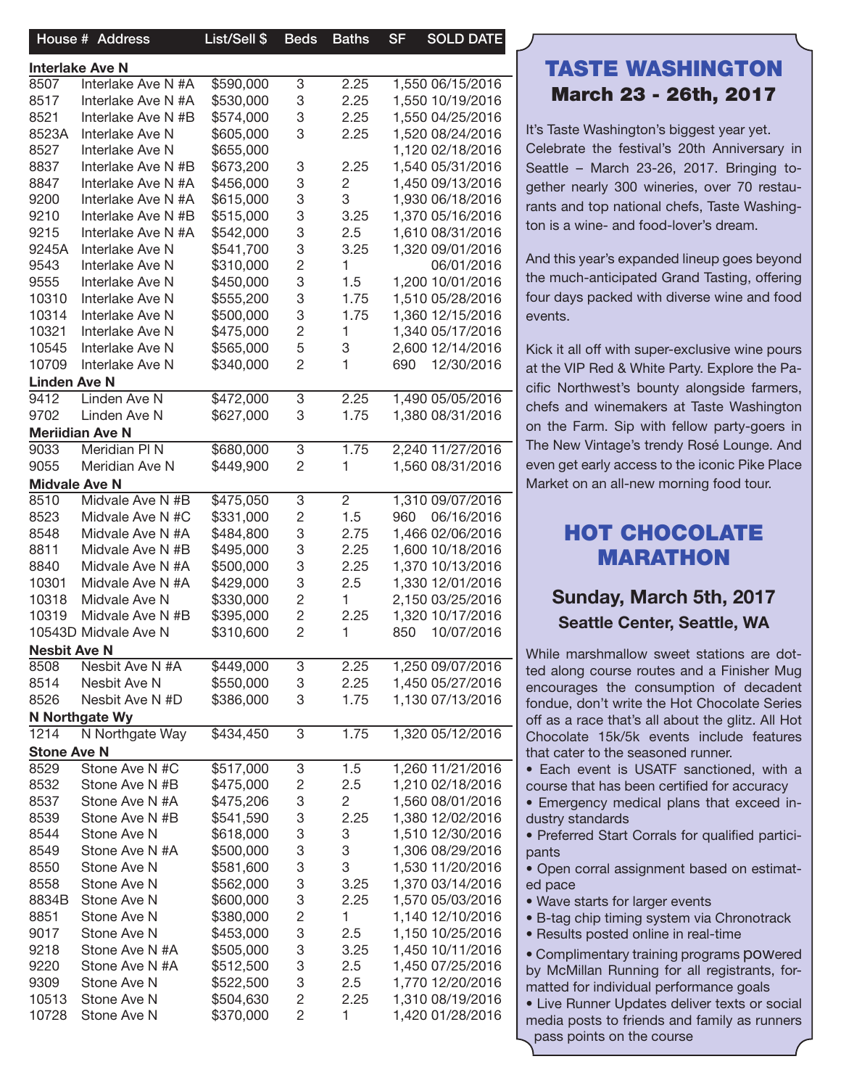|                              | House # Address                   | List/Sell \$ | <b>Beds</b>    | <b>Baths</b>   | <b>SF</b><br><b>SOLD DATE</b> |
|------------------------------|-----------------------------------|--------------|----------------|----------------|-------------------------------|
|                              | <b>Interlake Ave N</b>            |              |                |                |                               |
| 8507                         | Interlake Ave N #A                | \$590,000    | 3              | 2.25           | 1,550 06/15/2016              |
| 8517                         | Interlake Ave N #A                | \$530,000    | 3              | 2.25           | 1,550 10/19/2016              |
| 8521                         | Interlake Ave N #B                | \$574,000    | 3              | 2.25           | 1,550 04/25/2016              |
| 8523A                        | Interlake Ave N                   | \$605,000    | 3              | 2.25           | 1,520 08/24/2016              |
| 8527                         | Interlake Ave N                   | \$655,000    |                |                | 1,120 02/18/2016              |
| 8837                         | Interlake Ave N#B                 | \$673,200    | 3              | 2.25           | 1,540 05/31/2016              |
| 8847                         |                                   | \$456,000    | 3              |                | 1,450 09/13/2016              |
|                              | Interlake Ave N #A                |              |                | 2              |                               |
| 9200<br>9210                 | Interlake Ave N #A                | \$615,000    | 3              | 3<br>3.25      | 1,930 06/18/2016              |
| 9215                         | Interlake Ave N#B                 | \$515,000    | 3<br>3         | 2.5            | 1,370 05/16/2016              |
| 9245A                        | Interlake Ave N #A                | \$542,000    |                |                | 1,610 08/31/2016              |
|                              | Interlake Ave N                   | \$541,700    | 3              | 3.25           | 1,320 09/01/2016              |
| 9543                         | Interlake Ave N                   | \$310,000    | 2              | 1              | 06/01/2016                    |
| 9555                         | Interlake Ave N                   | \$450,000    | 3              | 1.5            | 1,200 10/01/2016              |
| 10310                        | Interlake Ave N                   | \$555,200    | 3              | 1.75           | 1,510 05/28/2016              |
| 10314                        | Interlake Ave N                   | \$500,000    | 3              | 1.75           | 1,360 12/15/2016              |
| 10321                        | Interlake Ave N                   | \$475,000    | 2              | 1              | 1,340 05/17/2016              |
| 10545                        | Interlake Ave N                   | \$565,000    | 5              | 3              | 2,600 12/14/2016              |
| 10709                        | Interlake Ave N                   | \$340,000    | 2              | 1              | 12/30/2016<br>690             |
| <b>Linden Ave N</b>          |                                   |              |                |                |                               |
| 9412                         | Linden Ave N                      | \$472,000    | 3              | 2.25           | 1,490 05/05/2016              |
| 9702                         | Linden Ave N                      | \$627,000    | 3              | 1.75           | 1,380 08/31/2016              |
|                              | <b>Meriidian Ave N</b>            |              |                |                |                               |
| 9033                         | Meridian PIN                      | \$680,000    | 3              | 1.75           | 2,240 11/27/2016              |
| 9055                         | Meridian Ave N                    | \$449,900    | 2              | 1              | 1,560 08/31/2016              |
| <b>Midvale Ave N</b><br>8510 | Midvale Ave N #B                  | \$475,050    | 3              | $\overline{2}$ | 1,310 09/07/2016              |
| 8523                         |                                   | \$331,000    |                | 1.5            | 06/16/2016<br>960             |
|                              | Midvale Ave N #C                  |              | $\overline{c}$ |                |                               |
| 8548                         | Midvale Ave N #A                  | \$484,800    | 3              | 2.75           | 1,466 02/06/2016              |
| 8811                         | Midvale Ave N #B                  | \$495,000    | 3              | 2.25           | 1,600 10/18/2016              |
| 8840                         | Midvale Ave N #A                  | \$500,000    | 3              | 2.25           | 1,370 10/13/2016              |
| 10301                        | Midvale Ave N #A                  | \$429,000    | 3              | 2.5            | 1,330 12/01/2016              |
| 10318                        | Midvale Ave N                     | \$330,000    | 2              | 1.             | 2,150 03/25/2016              |
| 10319                        | Midvale Ave N #B                  | \$395,000    | 2              | 2.25           | 1,320 10/17/2016              |
|                              | 10543D Midvale Ave N              | \$310,600    | $\overline{c}$ | 1              | 850<br>10/07/2016             |
| <b>Nesbit Ave N</b>          |                                   |              |                |                |                               |
| 8508                         | Nesbit Ave N #A                   | \$449,000    | $\mathbf{3}$   | 2.25           | 1,250 09/07/2016              |
| 8514                         | Nesbit Ave N                      | \$550,000    | $\sqrt{3}$     | 2.25           | 1,450 05/27/2016              |
| 8526                         | Nesbit Ave N #D                   | \$386,000    | 3              | 1.75           | 1,130 07/13/2016              |
| 1214                         | N Northgate Wy<br>N Northgate Way | \$434,450    | 3              | 1.75           | 1,320 05/12/2016              |
| <b>Stone Ave N</b>           |                                   |              |                |                |                               |
| 8529                         | Stone Ave N #C                    | \$517,000    | 3              | 1.5            | 1,260 11/21/2016              |
| 8532                         | Stone Ave N #B                    | \$475,000    | $\overline{c}$ | 2.5            | 1,210 02/18/2016              |
| 8537                         | Stone Ave N #A                    | \$475,206    | 3              | 2              | 1,560 08/01/2016              |
| 8539                         | Stone Ave N #B                    | \$541,590    | 3              | 2.25           | 1,380 12/02/2016              |
| 8544                         | Stone Ave N                       | \$618,000    | 3              | 3              | 1,510 12/30/2016              |
| 8549                         | Stone Ave N #A                    | \$500,000    | 3              | 3              | 1,306 08/29/2016              |
| 8550                         | Stone Ave N                       | \$581,600    | 3              | 3              | 1,530 11/20/2016              |
| 8558                         | Stone Ave N                       | \$562,000    | 3              | 3.25           | 1,370 03/14/2016              |
| 8834B                        | Stone Ave N                       | \$600,000    | 3              | 2.25           | 1,570 05/03/2016              |
| 8851                         | Stone Ave N                       | \$380,000    | $\overline{c}$ | 1.             | 1,140 12/10/2016              |
| 9017                         | Stone Ave N                       | \$453,000    | 3              | 2.5            | 1,150 10/25/2016              |
| 9218                         | Stone Ave N #A                    | \$505,000    | 3              | 3.25           | 1,450 10/11/2016              |
| 9220                         | Stone Ave N #A                    | \$512,500    | 3              | 2.5            | 1,450 07/25/2016              |
| 9309                         | Stone Ave N                       | \$522,500    | 3              | 2.5            | 1,770 12/20/2016              |
| 10513                        | Stone Ave N                       |              |                | 2.25           | 1,310 08/19/2016              |
|                              |                                   | \$504,630    | $\overline{c}$ |                |                               |
| 10728                        | Stone Ave N                       | \$370,000    | $\overline{2}$ | 1.             | 1,420 01/28/2016              |
|                              |                                   |              |                |                |                               |

## TASTE WASHINGTON March 23 - 26th, 2017

It's Taste Washington's biggest year yet. Celebrate the festival's 20th Anniversary in Seattle – March 23-26, 2017. Bringing together nearly 300 wineries, over 70 restaurants and top national chefs, Taste Washington is a wine- and food-lover's dream.

And this year's expanded lineup goes beyond the much-anticipated Grand Tasting, offering four days packed with diverse wine and food events.

Kick it all off with super-exclusive wine pours at the VIP Red & White Party. Explore the Pacific Northwest's bounty alongside farmers, chefs and winemakers at Taste Washington on the Farm. Sip with fellow party-goers in The New Vintage's trendy Rosé Lounge. And even get early access to the iconic Pike Place Market on an all-new morning food tour.

# HOT CHOCOLATE MARATHON

#### Sunday, March 5th, 2017 Seattle Center, Seattle, WA

While marshmallow sweet stations are dotted along course routes and a Finisher Mug encourages the consumption of decadent fondue, don't write the Hot Chocolate Series off as a race that's all about the glitz. All Hot Chocolate 15k/5k events include features that cater to the seasoned runner.

• Each event is USATF sanctioned, with a course that has been certified for accuracy

• Emergency medical plans that exceed industry standards

• Preferred Start Corrals for qualified participants

• Open corral assignment based on estimated pace

• Wave starts for larger events

• B-tag chip timing system via Chronotrack

• Results posted online in real-time

• Complimentary training programs powered by McMillan Running for all registrants, formatted for individual performance goals

• Live Runner Updates deliver texts or social media posts to friends and family as runners pass points on the course